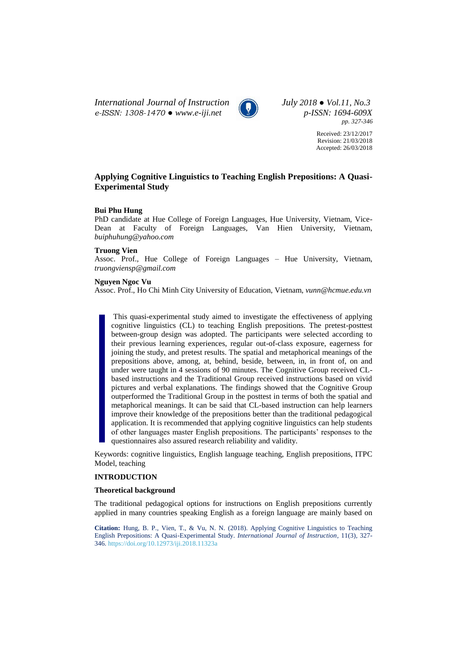*International Journal of Instruction July 2018 ● Vol.11, No.3 e-ISSN: 1308-1470 ● [www.e-iji.net](http://www.e-iji.net/) p-ISSN: 1694-609X*



*pp. 327-346*

Received: 23/12/2017 Revision: 21/03/2018 Accepted: 26/03/2018

# **Applying Cognitive Linguistics to Teaching English Prepositions: A Quasi-Experimental Study**

#### **Bui Phu Hung**

PhD candidate at Hue College of Foreign Languages, Hue University, Vietnam, Vice-Dean at Faculty of Foreign Languages, Van Hien University, Vietnam, *buiphuhung@yahoo.com*

### **Truong Vien**

Assoc. Prof., Hue College of Foreign Languages – Hue University, Vietnam, *truongviensp@gmail.com*

### **Nguyen Ngoc Vu**

Assoc. Prof., Ho Chi Minh City University of Education, Vietnam, *vunn@hcmue.edu.vn*

This quasi-experimental study aimed to investigate the effectiveness of applying cognitive linguistics (CL) to teaching English prepositions. The pretest-posttest between-group design was adopted. The participants were selected according to their previous learning experiences, regular out-of-class exposure, eagerness for joining the study, and pretest results. The spatial and metaphorical meanings of the prepositions above, among, at, behind, beside, between, in, in front of, on and under were taught in 4 sessions of 90 minutes. The Cognitive Group received CLbased instructions and the Traditional Group received instructions based on vivid pictures and verbal explanations. The findings showed that the Cognitive Group outperformed the Traditional Group in the posttest in terms of both the spatial and metaphorical meanings. It can be said that CL-based instruction can help learners improve their knowledge of the prepositions better than the traditional pedagogical application. It is recommended that applying cognitive linguistics can help students of other languages master English prepositions. The participants' responses to the questionnaires also assured research reliability and validity.

Keywords: cognitive linguistics, English language teaching, English prepositions, ITPC Model, teaching

## **INTRODUCTION**

#### **Theoretical background**

The traditional pedagogical options for instructions on English prepositions currently applied in many countries speaking English as a foreign language are mainly based on

**Citation:** Hung, B. P., Vien, T., & Vu, N. N. (2018). Applying Cognitive Linguistics to Teaching English Prepositions: A Quasi-Experimental Study. *International Journal of Instruction*, 11(3), 327- 346. <https://doi.org/10.12973/iji.2018.11323a>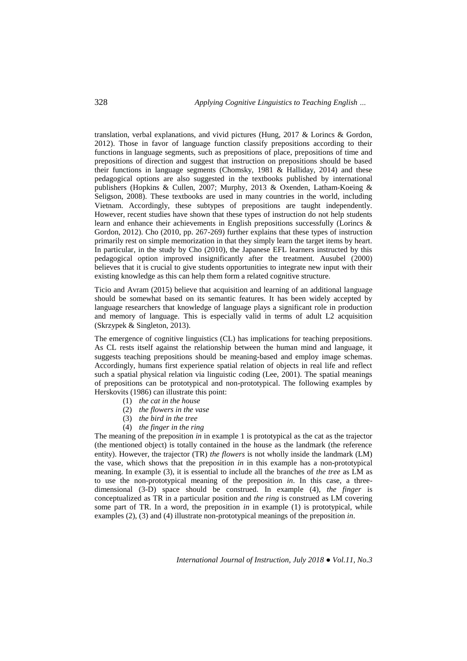translation, verbal explanations, and vivid pictures (Hung, 2017 & Lorincs & Gordon, 2012). Those in favor of language function classify prepositions according to their functions in language segments, such as prepositions of place, prepositions of time and prepositions of direction and suggest that instruction on prepositions should be based their functions in language segments (Chomsky, 1981 & Halliday, 2014) and these pedagogical options are also suggested in the textbooks published by international publishers (Hopkins & Cullen, 2007; Murphy, 2013 & Oxenden, Latham-Koeing & Seligson, 2008). These textbooks are used in many countries in the world, including Vietnam. Accordingly, these subtypes of prepositions are taught independently. However, recent studies have shown that these types of instruction do not help students learn and enhance their achievements in English prepositions successfully (Lorincs & Gordon, 2012). Cho (2010, pp. 267-269) further explains that these types of instruction primarily rest on simple memorization in that they simply learn the target items by heart. In particular, in the study by Cho (2010), the Japanese EFL learners instructed by this pedagogical option improved insignificantly after the treatment. Ausubel (2000) believes that it is crucial to give students opportunities to integrate new input with their existing knowledge as this can help them form a related cognitive structure.

Ticio and Avram (2015) believe that acquisition and learning of an additional language should be somewhat based on its semantic features. It has been widely accepted by language researchers that knowledge of language plays a significant role in production and memory of language. This is especially valid in terms of adult L2 acquisition (Skrzypek & Singleton, 2013).

The emergence of cognitive linguistics (CL) has implications for teaching prepositions. As CL rests itself against the relationship between the human mind and language, it suggests teaching prepositions should be meaning-based and employ image schemas. Accordingly, humans first experience spatial relation of objects in real life and reflect such a spatial physical relation via linguistic coding (Lee, 2001). The spatial meanings of prepositions can be prototypical and non-prototypical. The following examples by Herskovits (1986) can illustrate this point:

- (1) *the cat in the house*
- (2) *the flowers in the vase*
- (3) *the bird in the tree*
- (4) *the finger in the ring*

The meaning of the preposition *in* in example 1 is prototypical as the cat as the trajector (the mentioned object) is totally contained in the house as the landmark (the reference entity). However, the trajector (TR) *the flowers* is not wholly inside the landmark (LM) the vase, which shows that the preposition *in* in this example has a non-prototypical meaning. In example (3), it is essential to include all the branches of *the tree* as LM as to use the non-prototypical meaning of the preposition *in*. In this case, a threedimensional (3-D) space should be construed. In example (4), *the finger* is conceptualized as TR in a particular position and *the ring* is construed as LM covering some part of TR. In a word, the preposition *in* in example (1) is prototypical, while examples (2), (3) and (4) illustrate non-prototypical meanings of the preposition *in*.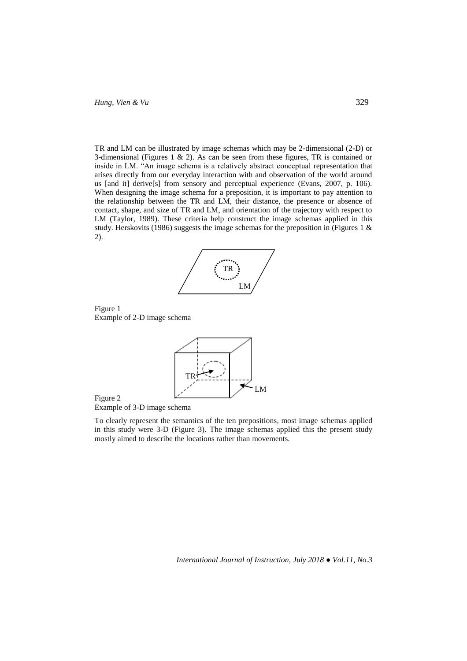TR and LM can be illustrated by image schemas which may be 2-dimensional (2-D) or 3-dimensional (Figures 1 & 2). As can be seen from these figures, TR is contained or inside in LM. "An image schema is a relatively abstract conceptual representation that arises directly from our everyday interaction with and observation of the world around us [and it] derive[s] from sensory and perceptual experience (Evans, 2007, p. 106). When designing the image schema for a preposition, it is important to pay attention to the relationship between the TR and LM, their distance, the presence or absence of contact, shape, and size of TR and LM, and orientation of the trajectory with respect to LM (Taylor, 1989). These criteria help construct the image schemas applied in this study. Herskovits (1986) suggests the image schemas for the preposition in (Figures 1 & 2).







Figure 2 Example of 3-D image schema

To clearly represent the semantics of the ten prepositions, most image schemas applied in this study were 3-D (Figure 3). The image schemas applied this the present study mostly aimed to describe the locations rather than movements.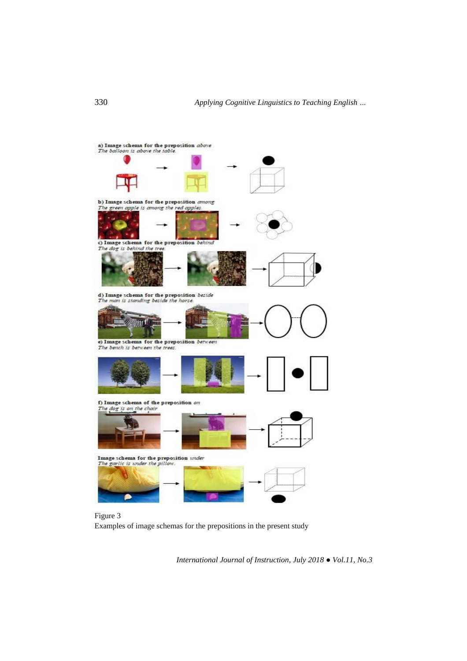

## Figure 3

Examples of image schemas for the prepositions in the present study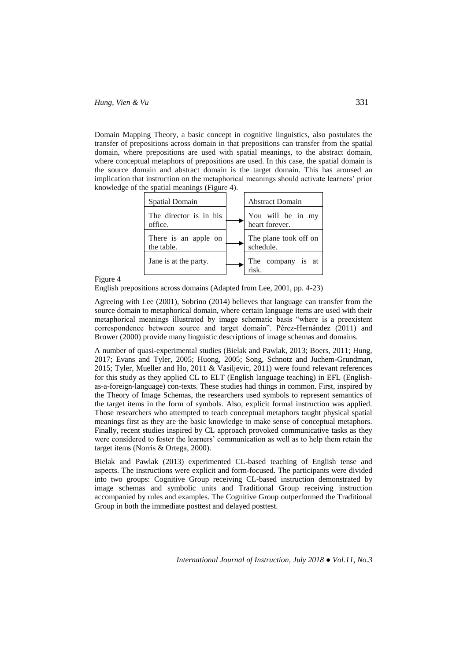Domain Mapping Theory, a basic concept in cognitive linguistics, also postulates the transfer of prepositions across domain in that prepositions can transfer from the spatial domain, where prepositions are used with spatial meanings, to the abstract domain, where conceptual metaphors of prepositions are used. In this case, the spatial domain is the source domain and abstract domain is the target domain. This has aroused an implication that instruction on the metaphorical meanings should activate learners' prior knowledge of the spatial meanings (Figure 4).

| Spatial Domain                     | <b>Abstract Domain</b>              |
|------------------------------------|-------------------------------------|
| The director is in his<br>office.  | You will be in my<br>heart forever. |
| There is an apple on<br>the table. | The plane took off on<br>schedule.  |
| Jane is at the party.              | The company is at                   |

# Figure 4

English prepositions across domains (Adapted from Lee, 2001, pp. 4-23)

Agreeing with Lee (2001), Sobrino (2014) believes that language can transfer from the source domain to metaphorical domain, where certain language items are used with their metaphorical meanings illustrated by image schematic basis "where is a preexistent correspondence between source and target domain". Pérez-Hernández (2011) and Brower (2000) provide many linguistic descriptions of image schemas and domains.

A number of quasi-experimental studies (Bielak and Pawlak, 2013; Boers, 2011; Hung, 2017; Evans and Tyler, 2005; Huong, 2005; Song, Schnotz and Juchem-Grundman, 2015; Tyler, Mueller and Ho, 2011 & Vasiljevic, 2011) were found relevant references for this study as they applied CL to ELT (English language teaching) in EFL (Englishas-a-foreign-language) con-texts. These studies had things in common. First, inspired by the Theory of Image Schemas, the researchers used symbols to represent semantics of the target items in the form of symbols. Also, explicit formal instruction was applied. Those researchers who attempted to teach conceptual metaphors taught physical spatial meanings first as they are the basic knowledge to make sense of conceptual metaphors. Finally, recent studies inspired by CL approach provoked communicative tasks as they were considered to foster the learners' communication as well as to help them retain the target items (Norris & Ortega, 2000).

Bielak and Pawlak (2013) experimented CL-based teaching of English tense and aspects. The instructions were explicit and form-focused. The participants were divided into two groups: Cognitive Group receiving CL-based instruction demonstrated by image schemas and symbolic units and Traditional Group receiving instruction accompanied by rules and examples. The Cognitive Group outperformed the Traditional Group in both the immediate posttest and delayed posttest.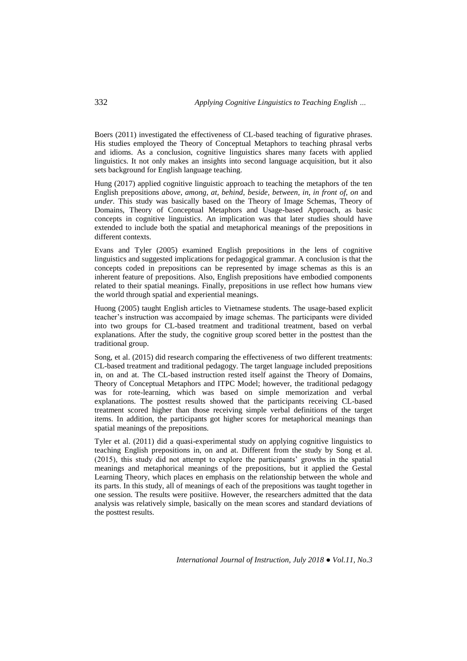Boers (2011) investigated the effectiveness of CL-based teaching of figurative phrases. His studies employed the Theory of Conceptual Metaphors to teaching phrasal verbs and idioms. As a conclusion, cognitive linguistics shares many facets with applied linguistics. It not only makes an insights into second language acquisition, but it also sets background for English language teaching.

Hung (2017) applied cognitive linguistic approach to teaching the metaphors of the ten English prepositions *above, among, at, behind, beside, between, in, in front of, on* and *under.* This study was basically based on the Theory of Image Schemas, Theory of Domains, Theory of Conceptual Metaphors and Usage-based Approach, as basic concepts in cognitive linguistics. An implication was that later studies should have extended to include both the spatial and metaphorical meanings of the prepositions in different contexts.

Evans and Tyler (2005) examined English prepositions in the lens of cognitive linguistics and suggested implications for pedagogical grammar. A conclusion is that the concepts coded in prepositions can be represented by image schemas as this is an inherent feature of prepositions. Also, English prepositions have embodied components related to their spatial meanings. Finally, prepositions in use reflect how humans view the world through spatial and experiential meanings.

Huong (2005) taught English articles to Vietnamese students. The usage-based explicit teacher's instruction was accompaied by image schemas. The participants were divided into two groups for CL-based treatment and traditional treatment, based on verbal explanations. After the study, the cognitive group scored better in the posttest than the traditional group.

Song, et al. (2015) did research comparing the effectiveness of two different treatments: CL-based treatment and traditional pedagogy. The target language included prepositions in, on and at. The CL-based instruction rested itself against the Theory of Domains, Theory of Conceptual Metaphors and ITPC Model; however, the traditional pedagogy was for rote-learning, which was based on simple memorization and verbal explanations. The posttest results showed that the participants receiving CL-based treatment scored higher than those receiving simple verbal definitions of the target items. In addition, the participants got higher scores for metaphorical meanings than spatial meanings of the prepositions.

Tyler et al. (2011) did a quasi-experimental study on applying cognitive linguistics to teaching English prepositions in, on and at. Different from the study by Song et al. (2015), this study did not attempt to explore the participants' growths in the spatial meanings and metaphorical meanings of the prepositions, but it applied the Gestal Learning Theory, which places en emphasis on the relationship between the whole and its parts. In this study, all of meanings of each of the prepositions was taught together in one session. The results were positiive. However, the researchers admitted that the data analysis was relatively simple, basically on the mean scores and standard deviations of the posttest results.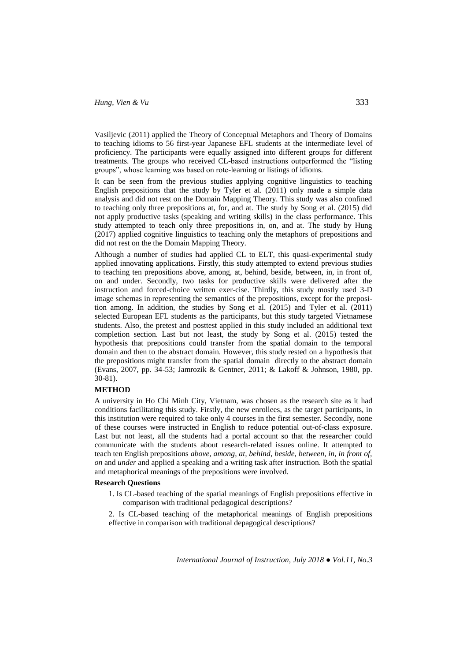Vasiljevic (2011) applied the Theory of Conceptual Metaphors and Theory of Domains to teaching idioms to 56 first-year Japanese EFL students at the intermediate level of proficiency. The participants were equally assigned into different groups for different treatments. The groups who received CL-based instructions outperformed the "listing groups", whose learning was based on rote-learning or listings of idioms.

It can be seen from the previous studies applying cognitive linguistics to teaching English prepositions that the study by Tyler et al. (2011) only made a simple data analysis and did not rest on the Domain Mapping Theory. This study was also confined to teaching only three prepositions at, for, and at. The study by Song et al. (2015) did not apply productive tasks (speaking and writing skills) in the class performance. This study attempted to teach only three prepositions in, on, and at. The study by Hung (2017) applied cognitive linguistics to teaching only the metaphors of prepositions and did not rest on the the Domain Mapping Theory.

Although a number of studies had applied CL to ELT, this quasi-experimental study applied innovating applications. Firstly, this study attempted to extend previous studies to teaching ten prepositions above, among, at, behind, beside, between, in, in front of, on and under. Secondly, two tasks for productive skills were delivered after the instruction and forced-choice written exer-cise. Thirdly, this study mostly used 3-D image schemas in representing the semantics of the prepositions, except for the preposition among. In addition, the studies by Song et al. (2015) and Tyler et al. (2011) selected European EFL students as the participants, but this study targeted Vietnamese students. Also, the pretest and posttest applied in this study included an additional text completion section. Last but not least, the study by Song et al. (2015) tested the hypothesis that prepositions could transfer from the spatial domain to the temporal domain and then to the abstract domain. However, this study rested on a hypothesis that the prepositions might transfer from the spatial domain directly to the abstract domain (Evans, 2007, pp. 34-53; Jamrozik & Gentner, 2011; & Lakoff & Johnson, 1980, pp. 30-81).

#### **METHOD**

A university in Ho Chi Minh City, Vietnam, was chosen as the research site as it had conditions facilitating this study. Firstly, the new enrollees, as the target participants, in this institution were required to take only 4 courses in the first semester. Secondly, none of these courses were instructed in English to reduce potential out-of-class exposure. Last but not least, all the students had a portal account so that the researcher could communicate with the students about research-related issues online. It attempted to teach ten English prepositions *above, among, at, behind, beside, between, in, in front of, on* and *under* and applied a speaking and a writing task after instruction. Both the spatial and metaphorical meanings of the prepositions were involved.

#### **Research Questions**

1. Is CL-based teaching of the spatial meanings of English prepositions effective in comparison with traditional pedagogical descriptions?

2. Is CL-based teaching of the metaphorical meanings of English prepositions effective in comparison with traditional depagogical descriptions?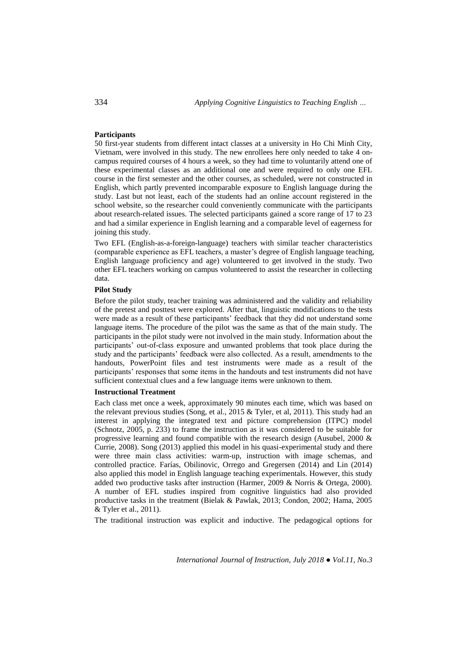334 *Applying Cognitive Linguistics to Teaching English …*

### **Participants**

50 first-year students from different intact classes at a university in Ho Chi Minh City, Vietnam, were involved in this study. The new enrollees here only needed to take 4 oncampus required courses of 4 hours a week, so they had time to voluntarily attend one of these experimental classes as an additional one and were required to only one EFL course in the first semester and the other courses, as scheduled, were not constructed in English, which partly prevented incomparable exposure to English language during the study. Last but not least, each of the students had an online account registered in the school website, so the researcher could conveniently communicate with the participants about research-related issues. The selected participants gained a score range of 17 to 23 and had a similar experience in English learning and a comparable level of eagerness for joining this study.

Two EFL (English-as-a-foreign-language) teachers with similar teacher characteristics (comparable experience as EFL teachers, a master's degree of English language teaching, English language proficiency and age) volunteered to get involved in the study. Two other EFL teachers working on campus volunteered to assist the researcher in collecting data.

### **Pilot Study**

Before the pilot study, teacher training was administered and the validity and reliability of the pretest and posttest were explored. After that, linguistic modifications to the tests were made as a result of these participants' feedback that they did not understand some language items. The procedure of the pilot was the same as that of the main study. The participants in the pilot study were not involved in the main study. Information about the participants' out-of-class exposure and unwanted problems that took place during the study and the participants' feedback were also collected. As a result, amendments to the handouts, PowerPoint files and test instruments were made as a result of the participants' responses that some items in the handouts and test instruments did not have sufficient contextual clues and a few language items were unknown to them.

#### **Instructional Treatment**

Each class met once a week, approximately 90 minutes each time, which was based on the relevant previous studies (Song, et al., 2015 & Tyler, et al, 2011). This study had an interest in applying the integrated text and picture comprehension (ITPC) model (Schnotz, 2005, p. 233) to frame the instruction as it was considered to be suitable for progressive learning and found compatible with the research design (Ausubel, 2000 & Currie, 2008). Song (2013) applied this model in his quasi-experimental study and there were three main class activities: warm-up, instruction with image schemas, and controlled practice. Farías, Obilinovic, Orrego and Gregersen (2014) and Lin (2014) also applied this model in English language teaching experimentals. However, this study added two productive tasks after instruction (Harmer, 2009 & Norris & Ortega, 2000). A number of EFL studies inspired from cognitive linguistics had also provided productive tasks in the treatment (Bielak & Pawlak, 2013; Condon, 2002; Hama, 2005 & Tyler et al., 2011).

The traditional instruction was explicit and inductive. The pedagogical options for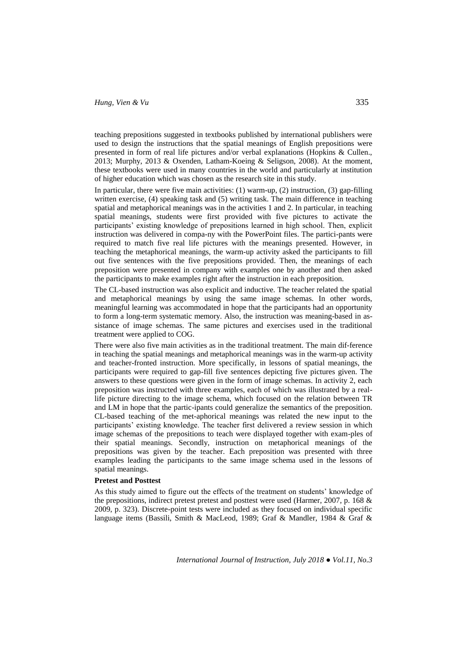teaching prepositions suggested in textbooks published by international publishers were used to design the instructions that the spatial meanings of English prepositions were presented in form of real life pictures and/or verbal explanations (Hopkins & Cullen., 2013; Murphy, 2013 & Oxenden, Latham-Koeing & Seligson, 2008). At the moment, these textbooks were used in many countries in the world and particularly at institution of higher education which was chosen as the research site in this study.

In particular, there were five main activities:  $(1)$  warm-up,  $(2)$  instruction,  $(3)$  gap-filling written exercise, (4) speaking task and (5) writing task. The main difference in teaching spatial and metaphorical meanings was in the activities 1 and 2. In particular, in teaching spatial meanings, students were first provided with five pictures to activate the participants' existing knowledge of prepositions learned in high school. Then, explicit instruction was delivered in compa-ny with the PowerPoint files. The partici-pants were required to match five real life pictures with the meanings presented. However, in teaching the metaphorical meanings, the warm-up activity asked the participants to fill out five sentences with the five prepositions provided. Then, the meanings of each preposition were presented in company with examples one by another and then asked the participants to make examples right after the instruction in each preposition.

The CL-based instruction was also explicit and inductive. The teacher related the spatial and metaphorical meanings by using the same image schemas. In other words, meaningful learning was accommodated in hope that the participants had an opportunity to form a long-term systematic memory. Also, the instruction was meaning-based in assistance of image schemas. The same pictures and exercises used in the traditional treatment were applied to COG.

There were also five main activities as in the traditional treatment. The main dif-ference in teaching the spatial meanings and metaphorical meanings was in the warm-up activity and teacher-fronted instruction. More specifically, in lessons of spatial meanings, the participants were required to gap-fill five sentences depicting five pictures given. The answers to these questions were given in the form of image schemas. In activity 2, each preposition was instructed with three examples, each of which was illustrated by a reallife picture directing to the image schema, which focused on the relation between TR and LM in hope that the partic-ipants could generalize the semantics of the preposition. CL-based teaching of the met-aphorical meanings was related the new input to the participants' existing knowledge. The teacher first delivered a review session in which image schemas of the prepositions to teach were displayed together with exam-ples of their spatial meanings. Secondly, instruction on metaphorical meanings of the prepositions was given by the teacher. Each preposition was presented with three examples leading the participants to the same image schema used in the lessons of spatial meanings.

#### **Pretest and Posttest**

As this study aimed to figure out the effects of the treatment on students' knowledge of the prepositions, indirect pretest pretest and posttest were used (Harmer, 2007, p. 168 & 2009, p. 323). Discrete-point tests were included as they focused on individual specific language items (Bassili, Smith & MacLeod, 1989; Graf & Mandler, 1984 & Graf &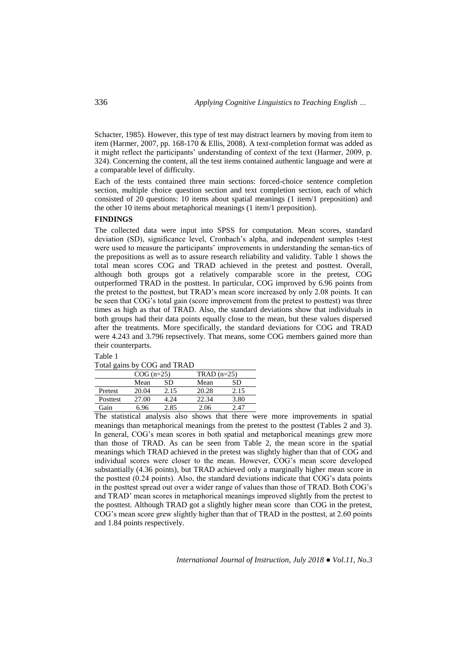Schacter, 1985). However, this type of test may distract learners by moving from item to item (Harmer, 2007, pp. 168-170 & Ellis, 2008). A text-completion format was added as it might reflect the participants' understanding of context of the text (Harmer, 2009, p. 324). Concerning the content, all the test items contained authentic language and were at a comparable level of difficulty.

Each of the tests contained three main sections: forced-choice sentence completion section, multiple choice question section and text completion section, each of which consisted of 20 questions: 10 items about spatial meanings (1 item/1 preposition) and the other 10 items about metaphorical meanings (1 item/1 preposition).

### **FINDINGS**

The collected data were input into SPSS for computation. Mean scores, standard deviation (SD), significance level, Cronbach's alpha, and independent samples t-test were used to measure the participants' improvements in understanding the seman-tics of the prepositions as well as to assure research reliability and validity. Table 1 shows the total mean scores COG and TRAD achieved in the pretest and posttest. Overall, although both groups got a relatively comparable score in the pretest, COG outperformed TRAD in the posttest. In particular, COG improved by 6.96 points from the pretest to the posttest, but TRAD's mean score increased by only 2.08 points. It can be seen that COG's total gain (score improvement from the pretest to posttest) was three times as high as that of TRAD. Also, the standard deviations show that individuals in both groups had their data points equally close to the mean, but these values dispersed after the treatments. More specifically, the standard deviations for COG and TRAD were 4.243 and 3.796 repsectively. That means, some COG members gained more than their counterparts.

Table 1

|  |  | Total gains by COG and TRAD |  |  |  |  |  |
|--|--|-----------------------------|--|--|--|--|--|
|--|--|-----------------------------|--|--|--|--|--|

|          | $COG$ (n=25) |      |       | $TRAD (n=25)$ |  |  |
|----------|--------------|------|-------|---------------|--|--|
|          | Mean         | SD   | Mean  | SD            |  |  |
| Pretest  | 20.04        | 2.15 | 20.28 | 2.15          |  |  |
| Posttest | 27.00        | . 24 | 22.34 | 3.80          |  |  |
| Gain     | 6.96         | 2.85 | 2.06  | <sup>47</sup> |  |  |

The statistical analysis also shows that there were more improvements in spatial meanings than metaphorical meanings from the pretest to the posttest (Tables 2 and 3). In general, COG's mean scores in both spatial and metaphorical meanings grew more than those of TRAD. As can be seen from Table 2, the mean score in the spatial meanings which TRAD achieved in the pretest was slightly higher than that of COG and individual scores were closer to the mean. However, COG's mean score developed substantially (4.36 points), but TRAD achieved only a marginally higher mean score in the posttest (0.24 points). Also, the standard deviations indicate that COG's data points in the posttest spread out over a wider range of values than those of TRAD. Both COG's and TRAD' mean scores in metaphorical meanings improved slightly from the pretest to the posttest. Although TRAD got a slightly higher mean score than COG in the pretest, COG's mean score grew slightly higher than that of TRAD in the posttest, at 2.60 points and 1.84 points respectively.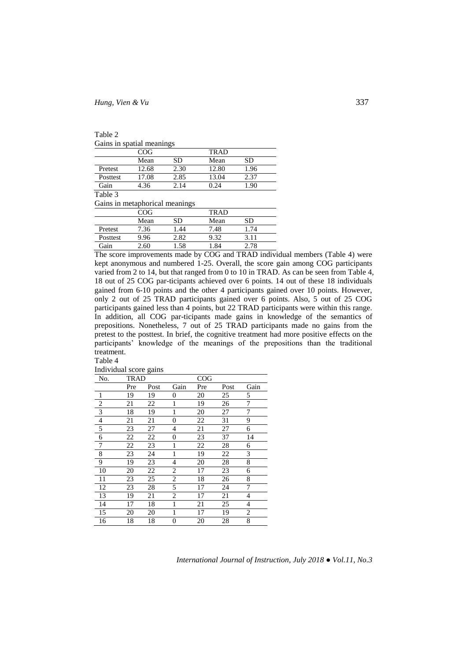Table 2 Gains in spatial meanings

|          | COG   |      | <b>TRAD</b> |      |  |  |  |  |
|----------|-------|------|-------------|------|--|--|--|--|
|          | Mean  | SD   | Mean        | SD   |  |  |  |  |
| Pretest  | 12.68 | 2.30 | 12.80       | 1.96 |  |  |  |  |
| Posttest | 17.08 | 2.85 | 13.04       | 2.37 |  |  |  |  |
| Gain     | 4.36  | 2 14 | በ 24        | 90   |  |  |  |  |

Table 3

Gains in metaphorical meanings

|          | COG  |      | <b>TRAD</b> |      |  |
|----------|------|------|-------------|------|--|
|          | Mean | SD   | Mean        | SD.  |  |
| Pretest  | 7.36 | .44  | 7.48        | 1.74 |  |
| Posttest | 9.96 | 2.82 | 9.32        |      |  |
| Gain     | .60  | .58  | .84         | .78  |  |

The score improvements made by COG and TRAD individual members (Table 4) were kept anonymous and numbered 1-25. Overall, the score gain among COG participants varied from 2 to 14, but that ranged from 0 to 10 in TRAD. As can be seen from Table 4, 18 out of 25 COG par-ticipants achieved over 6 points. 14 out of these 18 individuals gained from 6-10 points and the other 4 participants gained over 10 points. However, only 2 out of 25 TRAD participants gained over 6 points. Also, 5 out of 25 COG participants gained less than 4 points, but 22 TRAD participants were within this range. In addition, all COG par-ticipants made gains in knowledge of the semantics of prepositions. Nonetheless, 7 out of 25 TRAD participants made no gains from the pretest to the posttest. In brief, the cognitive treatment had more positive effects on the participants' knowledge of the meanings of the prepositions than the traditional treatment.

#### Table 4

| Individual score gains |  |
|------------------------|--|
|                        |  |
|                        |  |

| No.            | TRAD |      |                | COG |      |      |
|----------------|------|------|----------------|-----|------|------|
|                | Pre  | Post | Gain           | Pre | Post | Gain |
| 1              | 19   | 19   | 0              | 20  | 25   | 5    |
| $\overline{2}$ | 21   | 22   | 1              | 19  | 26   | 7    |
| 3              | 18   | 19   | 1              | 20  | 27   | 7    |
| $\overline{4}$ | 21   | 21   | 0              | 22  | 31   | 9    |
| 5              | 23   | 27   | 4              | 21  | 27   | 6    |
| 6              | 22   | 22   | 0              | 23  | 37   | 14   |
| 7              | 22   | 23   | 1              | 22  | 28   | 6    |
| 8              | 23   | 24   | 1              | 19  | 22   | 3    |
| 9              | 19   | 23   | $\overline{4}$ | 20  | 28   | 8    |
| 10             | 20   | 22   | 2              | 17  | 23   | 6    |
| 11             | 23   | 25   | 2              | 18  | 26   | 8    |
| 12             | 23   | 28   | 5              | 17  | 24   | 7    |
| 13             | 19   | 21   | 2              | 17  | 21   | 4    |
| 14             | 17   | 18   | 1              | 21  | 25   | 4    |
| 15             | 20   | 20   | 1              | 17  | 19   | 2    |
| 16             | 18   | 18   | 0              | 20  | 28   | 8    |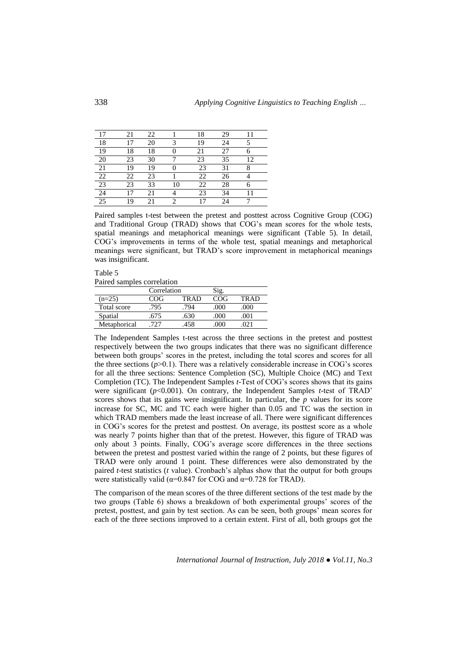| 17 | 21 | 22 |    | 18 | 29 |    |
|----|----|----|----|----|----|----|
| 18 | 17 | 20 | 3  | 19 | 24 |    |
| 19 | 18 | 18 |    | 21 | 27 |    |
| 20 | 23 | 30 |    | 23 | 35 | 12 |
| 21 | 19 | 19 |    | 23 | 31 | 8  |
| 22 | 22 | 23 |    | 22 | 26 |    |
| 23 | 23 | 33 | 10 | 22 | 28 |    |
| 24 | 17 | 21 |    | 23 | 34 |    |
| 25 | 19 | 21 |    |    | 24 |    |

Paired samples t-test between the pretest and posttest across Cognitive Group (COG) and Traditional Group (TRAD) shows that COG's mean scores for the whole tests, spatial meanings and metaphorical meanings were significant (Table 5). In detail, COG's improvements in terms of the whole test, spatial meanings and metaphorical meanings were significant, but TRAD's score improvement in metaphorical meanings was insignificant.

| Table 5 |                            |  |
|---------|----------------------------|--|
|         | Paired samples correlation |  |

|              | Correlation |       | Sig.  |       |
|--------------|-------------|-------|-------|-------|
| $(n=25)$     | COG         | TR AD | COG   | TR AD |
| Total score  | .795        | 794   | .000  | .000  |
| Spatial      | .675        | .630  | .000  | .001  |
| Metaphorical | 727         | 458   | (100) |       |

The Independent Samples t-test across the three sections in the pretest and posttest respectively between the two groups indicates that there was no significant difference between both groups' scores in the pretest, including the total scores and scores for all the three sections  $(p>0.1)$ . There was a relatively considerable increase in COG's scores for all the three sections: Sentence Completion (SC), Multiple Choice (MC) and Text Completion (TC). The Independent Samples *t*-Test of COG's scores shows that its gains were significant (*p*<0.001). On contrary, the Independent Samples *t*-test of TRAD' scores shows that its gains were insignificant. In particular, the  $p$  values for its score increase for SC, MC and TC each were higher than 0.05 and TC was the section in which TRAD members made the least increase of all. There were significant differences in COG's scores for the pretest and posttest. On average, its posttest score as a whole was nearly 7 points higher than that of the pretest. However, this figure of TRAD was only about 3 points. Finally, COG's average score differences in the three sections between the pretest and posttest varied within the range of 2 points, but these figures of TRAD were only around 1 point. These differences were also demonstrated by the paired *t*-test statistics (*t* value). Cronbach's alphas show that the output for both groups were statistically valid ( $\alpha$ =0.847 for COG and  $\alpha$ =0.728 for TRAD).

The comparison of the mean scores of the three different sections of the test made by the two groups (Table 6) shows a breakdown of both experimental groups' scores of the pretest, posttest, and gain by test section. As can be seen, both groups' mean scores for each of the three sections improved to a certain extent. First of all, both groups got the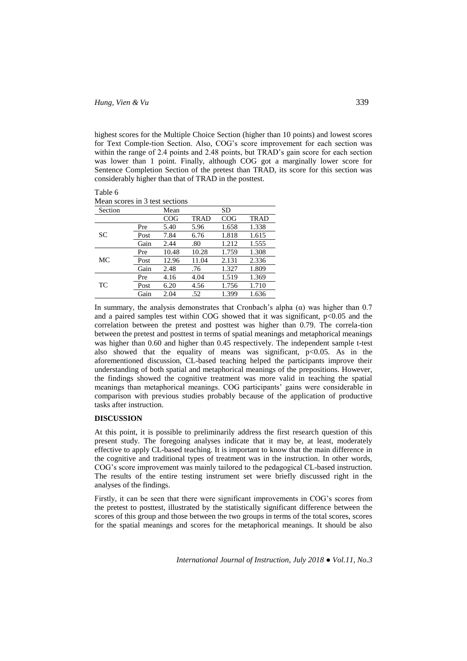highest scores for the Multiple Choice Section (higher than 10 points) and lowest scores for Text Comple-tion Section. Also, COG's score improvement for each section was within the range of 2.4 points and 2.48 points, but TRAD's gain score for each section was lower than 1 point. Finally, although COG got a marginally lower score for Sentence Completion Section of the pretest than TRAD, its score for this section was considerably higher than that of TRAD in the posttest.

Table 6

Mean scores in 3 test sections

| Section   |      | Mean  |       | SD    |       |
|-----------|------|-------|-------|-------|-------|
|           |      | COG   | TRAD  | COG   | TRAD  |
|           | Pre  | 5.40  | 5.96  | 1.658 | 1.338 |
| <b>SC</b> | Post | 7.84  | 6.76  | 1.818 | 1.615 |
|           | Gain | 2.44  | .80   | 1.212 | 1.555 |
|           | Pre  | 10.48 | 10.28 | 1.759 | 1.308 |
| МC        | Post | 12.96 | 11.04 | 2.131 | 2.336 |
|           | Gain | 2.48  | .76   | 1.327 | 1.809 |
|           | Pre  | 4.16  | 4.04  | 1.519 | 1.369 |
| TC        | Post | 6.20  | 4.56  | 1.756 | 1.710 |
|           | Gain | 2.04  | .52   | 1.399 | 1.636 |

In summary, the analysis demonstrates that Cronbach's alpha  $(\alpha)$  was higher than 0.7 and a paired samples test within COG showed that it was significant, p<0.05 and the correlation between the pretest and posttest was higher than 0.79. The correla-tion between the pretest and posttest in terms of spatial meanings and metaphorical meanings was higher than 0.60 and higher than 0.45 respectively. The independent sample t-test also showed that the equality of means was significant,  $p<0.05$ . As in the aforementioned discussion, CL-based teaching helped the participants improve their understanding of both spatial and metaphorical meanings of the prepositions. However, the findings showed the cognitive treatment was more valid in teaching the spatial meanings than metaphorical meanings. COG participants' gains were considerable in comparison with previous studies probably because of the application of productive tasks after instruction.

#### **DISCUSSION**

At this point, it is possible to preliminarily address the first research question of this present study. The foregoing analyses indicate that it may be, at least, moderately effective to apply CL-based teaching. It is important to know that the main difference in the cognitive and traditional types of treatment was in the instruction. In other words, COG's score improvement was mainly tailored to the pedagogical CL-based instruction. The results of the entire testing instrument set were briefly discussed right in the analyses of the findings.

Firstly, it can be seen that there were significant improvements in COG's scores from the pretest to posttest, illustrated by the statistically significant difference between the scores of this group and those between the two groups in terms of the total scores, scores for the spatial meanings and scores for the metaphorical meanings. It should be also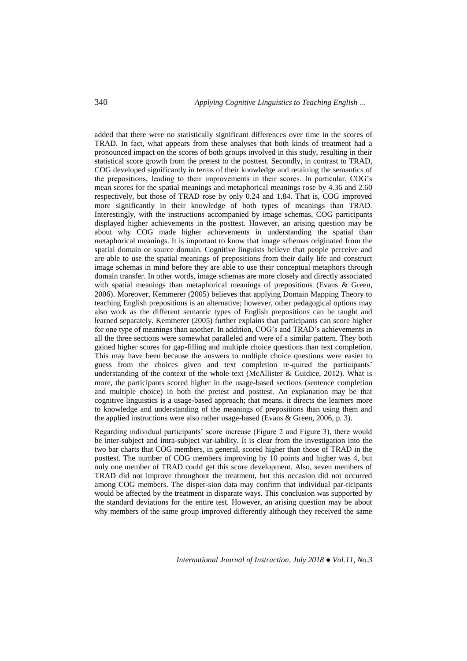added that there were no statistically significant differences over time in the scores of TRAD. In fact, what appears from these analyses that both kinds of treatment had a pronounced impact on the scores of both groups involved in this study, resulting in their statistical score growth from the pretest to the posttest. Secondly, in contrast to TRAD, COG developed significantly in terms of their knowledge and retaining the semantics of the prepositions, leading to their improvements in their scores. In particular, COG's mean scores for the spatial meanings and metaphorical meanings rose by 4.36 and 2.60 respectively, but those of TRAD rose by only 0.24 and 1.84. That is, COG improved more significantly in their knowledge of both types of meanings than TRAD. Interestingly, with the instructions accompanied by image schemas, COG participants displayed higher achievements in the posttest. However, an arising question may be about why COG made higher achievements in understanding the spatial than metaphorical meanings. It is important to know that image schemas originated from the spatial domain or source domain. Cognitive linguists believe that people perceive and are able to use the spatial meanings of prepositions from their daily life and construct image schemas in mind before they are able to use their conceptual metaphors through domain transfer. In other words, image schemas are more closely and directly associated with spatial meanings than metaphorical meanings of prepositions (Evans & Green, 2006). Moreover, Kemmerer (2005) believes that applying Domain Mapping Theory to teaching English prepositions is an alternative; however, other pedagogical options may also work as the different semantic types of English prepositions can be taught and learned separately. Kemmerer (2005) further explains that participants can score higher for one type of meanings than another. In addition, COG's and TRAD's achievements in all the three sections were somewhat paralleled and were of a similar pattern. They both gained higher scores for gap-filling and multiple choice questions than text completion. This may have been because the answers to multiple choice questions were easier to guess from the choices given and text completion re-quired the participants' understanding of the context of the whole text (McAllister & Guidice, 2012). What is more, the participants scored higher in the usage-based sections (sentence completion and multiple choice) in both the pretest and posttest. An explanation may be that cognitive linguistics is a usage-based approach; that means, it directs the learners more to knowledge and understanding of the meanings of prepositions than using them and the applied instructions were also rather usage-based (Evans & Green, 2006, p. 3).

Regarding individual participants' score increase (Figure 2 and Figure 3), there would be inter-subject and intra-subject var-iability. It is clear from the investigation into the two bar charts that COG members, in general, scored higher than those of TRAD in the posttest. The number of COG members improving by 10 points and higher was 4, but only one member of TRAD could get this score development. Also, seven members of TRAD did not improve throughout the treatment, but this occasion did not occurred among COG members. The disper-sion data may confirm that individual par-ticipants would be affected by the treatment in disparate ways. This conclusion was supported by the standard deviations for the entire test. However, an arising question may be about why members of the same group improved differently although they received the same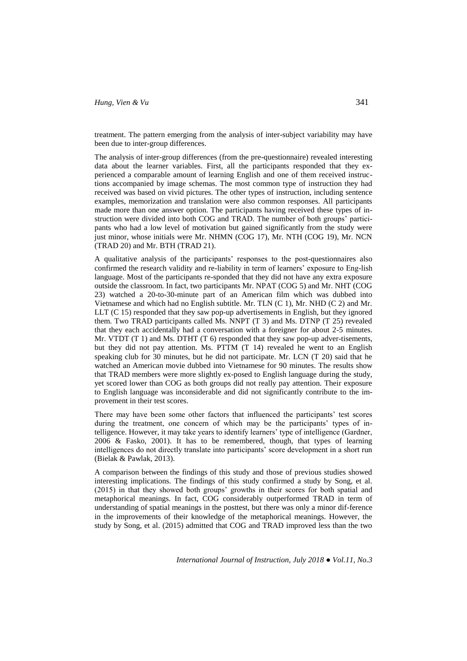treatment. The pattern emerging from the analysis of inter-subject variability may have been due to inter-group differences.

The analysis of inter-group differences (from the pre-questionnaire) revealed interesting data about the learner variables. First, all the participants responded that they experienced a comparable amount of learning English and one of them received instructions accompanied by image schemas. The most common type of instruction they had received was based on vivid pictures. The other types of instruction, including sentence examples, memorization and translation were also common responses. All participants made more than one answer option. The participants having received these types of instruction were divided into both COG and TRAD. The number of both groups' participants who had a low level of motivation but gained significantly from the study were just minor, whose initials were Mr. NHMN (COG 17), Mr. NTH (COG 19), Mr. NCN (TRAD 20) and Mr. BTH (TRAD 21).

A qualitative analysis of the participants' responses to the post-questionnaires also confirmed the research validity and re-liability in term of learners' exposure to Eng-lish language. Most of the participants re-sponded that they did not have any extra exposure outside the classroom. In fact, two participants Mr. NPAT (COG 5) and Mr. NHT (COG 23) watched a 20-to-30-minute part of an American film which was dubbed into Vietnamese and which had no English subtitle. Mr. TLN (C 1), Mr. NHD (C 2) and Mr. LLT (C 15) responded that they saw pop-up advertisements in English, but they ignored them. Two TRAD participants called Ms. NNPT (T 3) and Ms. DTNP (T 25) revealed that they each accidentally had a conversation with a foreigner for about 2-5 minutes. Mr. VTDT (T 1) and Ms. DTHT (T 6) responded that they saw pop-up adver-tisements, but they did not pay attention. Ms. PTTM (T 14) revealed he went to an English speaking club for 30 minutes, but he did not participate. Mr. LCN (T 20) said that he watched an American movie dubbed into Vietnamese for 90 minutes. The results show that TRAD members were more slightly ex-posed to English language during the study, yet scored lower than COG as both groups did not really pay attention. Their exposure to English language was inconsiderable and did not significantly contribute to the improvement in their test scores.

There may have been some other factors that influenced the participants' test scores during the treatment, one concern of which may be the participants' types of intelligence. However, it may take years to identify learners' type of intelligence (Gardner, 2006 & Fasko, 2001). It has to be remembered, though, that types of learning intelligences do not directly translate into participants' score development in a short run (Bielak & Pawlak, 2013).

A comparison between the findings of this study and those of previous studies showed interesting implications. The findings of this study confirmed a study by Song, et al. (2015) in that they showed both groups' growths in their scores for both spatial and metaphorical meanings. In fact, COG considerably outperformed TRAD in term of understanding of spatial meanings in the posttest, but there was only a minor dif-ference in the improvements of their knowledge of the metaphorical meanings. However, the study by Song, et al. (2015) admitted that COG and TRAD improved less than the two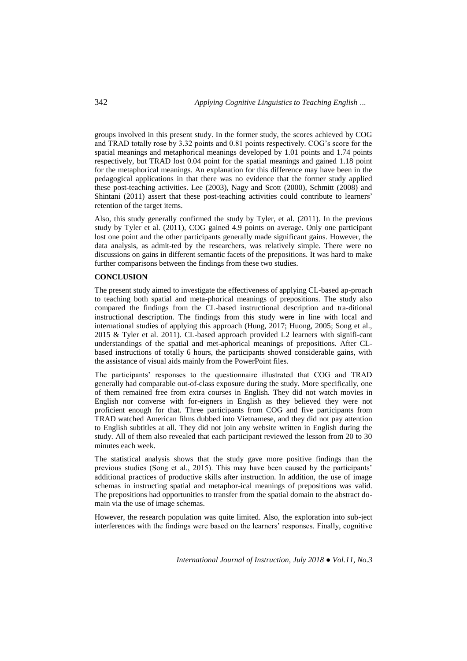groups involved in this present study. In the former study, the scores achieved by COG and TRAD totally rose by 3.32 points and 0.81 points respectively. COG's score for the spatial meanings and metaphorical meanings developed by 1.01 points and 1.74 points respectively, but TRAD lost 0.04 point for the spatial meanings and gained 1.18 point for the metaphorical meanings. An explanation for this difference may have been in the pedagogical applications in that there was no evidence that the former study applied these post-teaching activities. Lee (2003), Nagy and Scott (2000), Schmitt (2008) and Shintani (2011) assert that these post-teaching activities could contribute to learners' retention of the target items.

Also, this study generally confirmed the study by Tyler, et al. (2011). In the previous study by Tyler et al. (2011), COG gained 4.9 points on average. Only one participant lost one point and the other participants generally made significant gains. However, the data analysis, as admit-ted by the researchers, was relatively simple. There were no discussions on gains in different semantic facets of the prepositions. It was hard to make further comparisons between the findings from these two studies.

### **CONCLUSION**

The present study aimed to investigate the effectiveness of applying CL-based ap-proach to teaching both spatial and meta-phorical meanings of prepositions. The study also compared the findings from the CL-based instructional description and tra-ditional instructional description. The findings from this study were in line with local and international studies of applying this approach (Hung, 2017; Huong, 2005; Song et al., 2015 & Tyler et al. 2011). CL-based approach provided L2 learners with signifi-cant understandings of the spatial and met-aphorical meanings of prepositions. After CLbased instructions of totally 6 hours, the participants showed considerable gains, with the assistance of visual aids mainly from the PowerPoint files.

The participants' responses to the questionnaire illustrated that COG and TRAD generally had comparable out-of-class exposure during the study. More specifically, one of them remained free from extra courses in English. They did not watch movies in English nor converse with for-eigners in English as they believed they were not proficient enough for that. Three participants from COG and five participants from TRAD watched American films dubbed into Vietnamese, and they did not pay attention to English subtitles at all. They did not join any website written in English during the study. All of them also revealed that each participant reviewed the lesson from 20 to 30 minutes each week.

The statistical analysis shows that the study gave more positive findings than the previous studies (Song et al., 2015). This may have been caused by the participants' additional practices of productive skills after instruction. In addition, the use of image schemas in instructing spatial and metaphor-ical meanings of prepositions was valid. The prepositions had opportunities to transfer from the spatial domain to the abstract domain via the use of image schemas.

However, the research population was quite limited. Also, the exploration into sub-ject interferences with the findings were based on the learners' responses. Finally, cognitive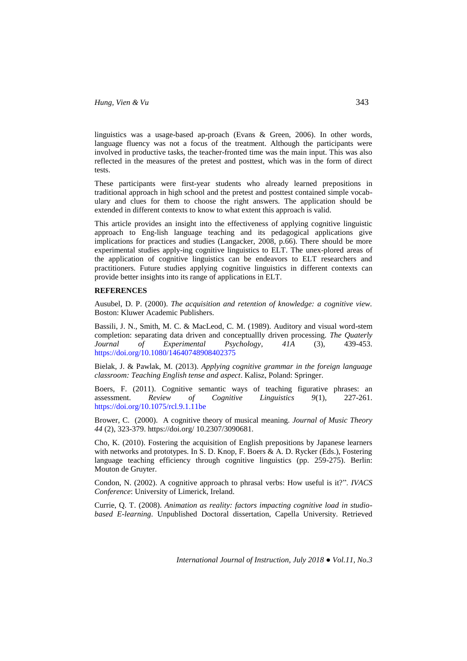linguistics was a usage-based ap-proach (Evans & Green, 2006). In other words, language fluency was not a focus of the treatment. Although the participants were involved in productive tasks, the teacher-fronted time was the main input. This was also reflected in the measures of the pretest and posttest, which was in the form of direct tests.

These participants were first-year students who already learned prepositions in traditional approach in high school and the pretest and posttest contained simple vocabulary and clues for them to choose the right answers. The application should be extended in different contexts to know to what extent this approach is valid.

This article provides an insight into the effectiveness of applying cognitive linguistic approach to Eng-lish language teaching and its pedagogical applications give implications for practices and studies (Langacker, 2008, p.66). There should be more experimental studies apply-ing cognitive linguistics to ELT. The unex-plored areas of the application of cognitive linguistics can be endeavors to ELT researchers and practitioners. Future studies applying cognitive linguistics in different contexts can provide better insights into its range of applications in ELT.

#### **REFERENCES**

Ausubel, D. P. (2000). *The acquisition and retention of knowledge: a cognitive view.*  Boston: Kluwer Academic Publishers.

Bassili, J. N., Smith, M. C. & MacLeod, C. M. (1989). Auditory and visual word-stem completion: separating data driven and conceptuallly driven processing. *The Quaterly Journal of Experimental Psychology*, *41A* (3), 439-453. <https://doi.org/10.1080/14640748908402375>

Bielak, J. & Pawlak, M. (2013). *Applying cognitive grammar in the foreign language classroom: Teaching English tense and aspect*. Kalisz, Poland: Springer.

Boers, F. (2011). Cognitive semantic ways of teaching figurative phrases: an assessment. *Review of Cognitive Linguistics 9*(1), 227-261. <https://doi.org/10.1075/rcl.9.1.11be>

Brower, C. (2000). A cognitive theory of musical meaning. *Journal of Music Theory 44* (2), 323-379. https://doi.org/ 10.2307/3090681.

Cho, K. (2010). Fostering the acquisition of English prepositions by Japanese learners with networks and prototypes. In S. D. Knop, F. Boers & A. D. Rycker (Eds.), Fostering language teaching efficiency through cognitive linguistics (pp. 259-275). Berlin: Mouton de Gruyter.

Condon, N. (2002). A cognitive approach to phrasal verbs: How useful is it?". *IVACS Conference*: University of Limerick, Ireland.

Currie, Q. T. (2008). *Animation as reality: factors impacting cognitive load in studiobased E-learning*. Unpublished Doctoral dissertation, Capella University. Retrieved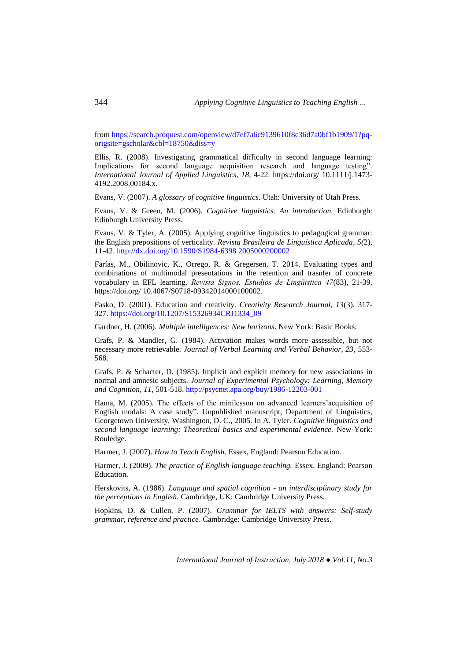from [https://search.proquest.com/openview/d7ef7a6c9139610f8c36d7a0bf1b1909/1?pq](https://search.proquest.com/openview/d7ef7a6c9139610f8c36d7a0bf1b1909/1?pq-origsite=gscholar&cbl=18750&diss=y)[origsite=gscholar&cbl=18750&diss=y](https://search.proquest.com/openview/d7ef7a6c9139610f8c36d7a0bf1b1909/1?pq-origsite=gscholar&cbl=18750&diss=y)

Ellis, R. (2008). Investigating grammatical difficulty in second language learning: Implications for second language acquisition research and language testing". *International Journal of Applied Linguistics*, *18,* 4-22. https://doi.org/ 10.1111/j.1473- 4192.2008.00184.x.

Evans, V. (2007). *A glossary of cognitive linguistics*. Utah: University of Utah Press.

Evans, V. & Green, M. (2006). *Cognitive linguistics. An introduction.* Edinburgh: Edinburgh University Press.

Evans, V. & Tyler, A. (2005). Applying cognitive linguistics to pedagogical grammar: the English prepositions of verticality*. [Revista Brasileira de Linguística Aplicada,](http://www.scielo.br/scielo.php?script=sci_serial&pid=1984-6398&lng=en&nrm=iso) 5(*2), 11-42. [http://dx.doi.org/10.1590/S1984-6398 2005000200002](http://dx.doi.org/10.1590/S1984-6398%202005000200002)

Farías, M., Obilinovic, K., Orrego, R. & Gregersen, T. 2014. Evaluating types and combinations of multimodal presentations in the retention and trasnfer of concrete vocabulary in EFL learning. *Revista Signos. Estudios de Lingũistica 47*(83), 21-39. https://doi.org/ 10.4067/S0718-09342014000100002.

Fasko, D. (2001). Education and creativity. *Creativity Research Journal, 13*(3), 317- 327[. https://doi.org/10.1207/S15326934CRJ1334\\_09](https://doi.org/10.1207/S15326934CRJ1334_09)

Gardner, H. (2006). *Multiple intelligences: New horizons*. New York: Basic Books.

Grafs, P. & Mandler, G. (1984). Activation makes words more assessible, but not necessary more retrievable. *Journal of Verbal Learning and Verbal Behavior, 23*, 553- 568.

Grafs, P. & Schacter, D. (1985). Implicit and explicit memory for new associations in normal and amnesic subjects. *Journal of Experimental Psychology: Learning, Memory and Cognition, 11,* 501-518.<http://psycnet.apa.org/buy/1986-12203-001>

Hama, M. (2005). The effects of the minilesson on advanced learners'acquisition of English modals: A case study". Unpublished manuscript, Department of Linguistics, Georgetown University, Washington, D. C., 2005. In A. Tyler. *Cognitive linguistics and second language learning: Theoretical basics and experimental evidence.* New York: Rouledge.

Harmer, J. (2007). *How to Teach English*. Essex, England: Pearson Education.

Harmer, J. (2009). *The practice of English language teaching.* Essex, England: Pearson Education.

Herskovits, A. (1986). *Language and spatial cognition - an interdisciplinary study for the perceptions in English.* Cambridge, UK: Cambridge University Press.

Hopkins, D. & Cullen, P. (2007). *Grammar for IELTS with answers: Self-study grammar, reference and practice*. Cambridge: Cambridge University Press.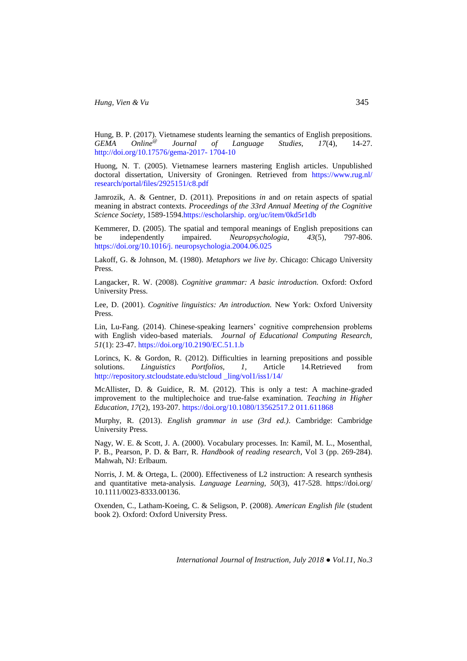Hung, B. P. (2017). Vietnamese students learning the semantics of English prepositions. *GEMA Online@ Journal of Language Studies, 17*(4), 14-27. [http://doi.org/10.17576/gema-2017-](http://doi.org/10.17576/gema-2017-%201704-10) 1704-10

Huong, N. T. (2005). Vietnamese learners mastering English articles. Unpublished doctoral dissertation, University of Groningen. Retrieved from [https://www.rug.nl/](https://www.rug.nl/%20research/portal/files/2925151/c8.pdf)  [research/portal/files/2925151/c8.pdf](https://www.rug.nl/%20research/portal/files/2925151/c8.pdf)

Jamrozik, A. & Gentner, D. (2011). Prepositions *in* and *on* retain aspects of spatial meaning in abstract contexts. *Proceedings of the 33rd Annual Meeting of the Cognitive Science Society,* 1589-1594.https://escholarship. org/uc/item/0kd5r1db

Kemmerer, D. (2005). The spatial and temporal meanings of English prepositions can be independently impaired. *Neuropsychologia*, *43*(5), 797-806. [https://doi.org/10.1016/j. neuropsychologia.2004.06.025](https://doi.org/10.1016/j.%20neuropsychologia.2004.06.025)

Lakoff, G. & Johnson, M. (1980). *Metaphors we live by*. Chicago: Chicago University Press.

Langacker, R. W. (2008). *Cognitive grammar: A basic introduction.* Oxford: Oxford University Press.

Lee, D. (2001). *Cognitive linguistics: An introduction.* New York: Oxford University Press.

Lin, Lu-Fang. (2014). Chinese-speaking learners' cognitive comprehension problems with English video-based materials. *Journal of Educational Computing Research, 51*(1): 23-47.<https://doi.org/10.2190/EC.51.1.b>

Lorincs, K. & Gordon, R. (2012). Difficulties in learning prepositions and possible solutions. *Linguistics Portfolios, 1,* Article 14*.*Retrieved from [http://repository.stcloudstate.edu/stcloud \\_ling/vol1/iss1/14/](http://repository.stcloudstate.edu/stcloud%20_ling/vol1/iss1/14/)

McAllister, D. & Guidice, R. M. (2012). This is only a test: A machine-graded improvement to the multiplechoice and true-false examination. *Teaching in Higher Education, 17*(2), 193-207. [https://doi.org/10.1080/13562517.2 011.611868](https://doi.org/10.1080/13562517.2%20011.611868)

Murphy, R. (2013). *English grammar in use (3rd ed.)*. Cambridge: Cambridge University Press.

Nagy, W. E. & Scott, J. A. (2000). Vocabulary processes. In: Kamil, M. L., Mosenthal, P. B., Pearson, P. D. & Barr, R. *Handbook of reading research*, Vol 3 (pp. 269-284). Mahwah, NJ: Erlbaum.

Norris, J. M. & Ortega, L. (2000). Effectiveness of L2 instruction: A research synthesis and quantitative meta-analysis. *Language Learning, 50*(3), 417-528. https://doi.org/ 10.1111/0023-8333.00136.

Oxenden, C., Latham-Koeing, C. & Seligson, P. (2008). *American English file* (student book 2). Oxford: Oxford University Press.